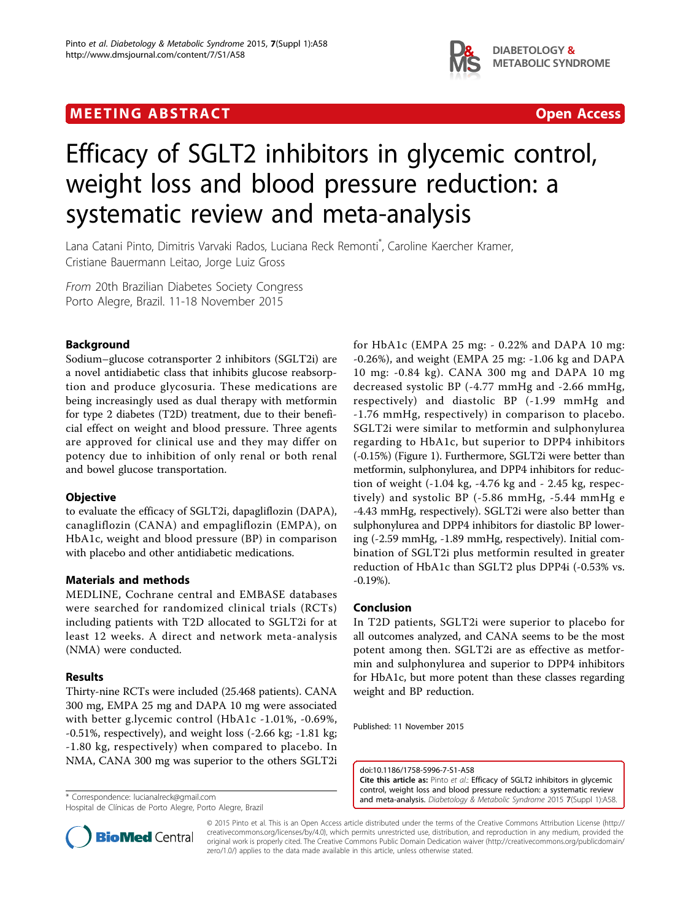# MEETING ABSTRACT And the control of the control of the control open Access



# Efficacy of SGLT2 inhibitors in glycemic control, weight loss and blood pressure reduction: a systematic review and meta-analysis

Lana Catani Pinto, Dimitris Varvaki Rados, Luciana Reck Remonti\* , Caroline Kaercher Kramer, Cristiane Bauermann Leitao, Jorge Luiz Gross

From 20th Brazilian Diabetes Society Congress Porto Alegre, Brazil. 11-18 November 2015

## Background

Sodium–glucose cotransporter 2 inhibitors (SGLT2i) are a novel antidiabetic class that inhibits glucose reabsorption and produce glycosuria. These medications are being increasingly used as dual therapy with metformin for type 2 diabetes (T2D) treatment, due to their beneficial effect on weight and blood pressure. Three agents are approved for clinical use and they may differ on potency due to inhibition of only renal or both renal and bowel glucose transportation.

#### **Objective**

to evaluate the efficacy of SGLT2i, dapagliflozin (DAPA), canagliflozin (CANA) and empagliflozin (EMPA), on HbA1c, weight and blood pressure (BP) in comparison with placebo and other antidiabetic medications.

### Materials and methods

MEDLINE, Cochrane central and EMBASE databases were searched for randomized clinical trials (RCTs) including patients with T2D allocated to SGLT2i for at least 12 weeks. A direct and network meta-analysis (NMA) were conducted.

#### Results

Thirty-nine RCTs were included (25.468 patients). CANA 300 mg, EMPA 25 mg and DAPA 10 mg were associated with better g.lycemic control (HbA1c -1.01%, -0.69%, -0.51%, respectively), and weight loss (-2.66 kg; -1.81 kg; -1.80 kg, respectively) when compared to placebo. In NMA, CANA 300 mg was superior to the others SGLT2i

Hospital de Clínicas de Porto Alegre, Porto Alegre, Brazil

for HbA1c (EMPA 25 mg: - 0.22% and DAPA 10 mg: -0.26%), and weight (EMPA 25 mg: -1.06 kg and DAPA 10 mg: -0.84 kg). CANA 300 mg and DAPA 10 mg decreased systolic BP (-4.77 mmHg and -2.66 mmHg, respectively) and diastolic BP (-1.99 mmHg and -1.76 mmHg, respectively) in comparison to placebo. SGLT2i were similar to metformin and sulphonylurea regarding to HbA1c, but superior to DPP4 inhibitors (-0.15%) (Figure [1\)](#page-1-0). Furthermore, SGLT2i were better than metformin, sulphonylurea, and DPP4 inhibitors for reduction of weight (-1.04 kg, -4.76 kg and - 2.45 kg, respectively) and systolic BP (-5.86 mmHg, -5.44 mmHg e -4.43 mmHg, respectively). SGLT2i were also better than sulphonylurea and DPP4 inhibitors for diastolic BP lowering (-2.59 mmHg, -1.89 mmHg, respectively). Initial combination of SGLT2i plus metformin resulted in greater reduction of HbA1c than SGLT2 plus DPP4i (-0.53% vs. -0.19%).

#### Conclusion

In T2D patients, SGLT2i were superior to placebo for all outcomes analyzed, and CANA seems to be the most potent among then. SGLT2i are as effective as metformin and sulphonylurea and superior to DPP4 inhibitors for HbA1c, but more potent than these classes regarding weight and BP reduction.

Published: 11 November 2015

doi:10.1186/1758-5996-7-S1-A58 Cite this article as: Pinto et al.: Efficacy of SGLT2 inhibitors in glycemic control, weight loss and blood pressure reduction: a systematic review and meta-analysis. Diabetology & Metabolic Syndrome 2015 7(Suppl 1):A58. \* Correspondence: [lucianalreck@gmail.com](mailto:lucianalreck@gmail.com)



© 2015 Pinto et al. This is an Open Access article distributed under the terms of the Creative Commons Attribution License [\(http://](http://creativecommons.org/licenses/by/4.0) [creativecommons.org/licenses/by/4.0](http://creativecommons.org/licenses/by/4.0)), which permits unrestricted use, distribution, and reproduction in any medium, provided the original work is properly cited. The Creative Commons Public Domain Dedication waiver ([http://creativecommons.org/publicdomain/](http://creativecommons.org/publicdomain/zero/1.0/) [zero/1.0/](http://creativecommons.org/publicdomain/zero/1.0/)) applies to the data made available in this article, unless otherwise stated.